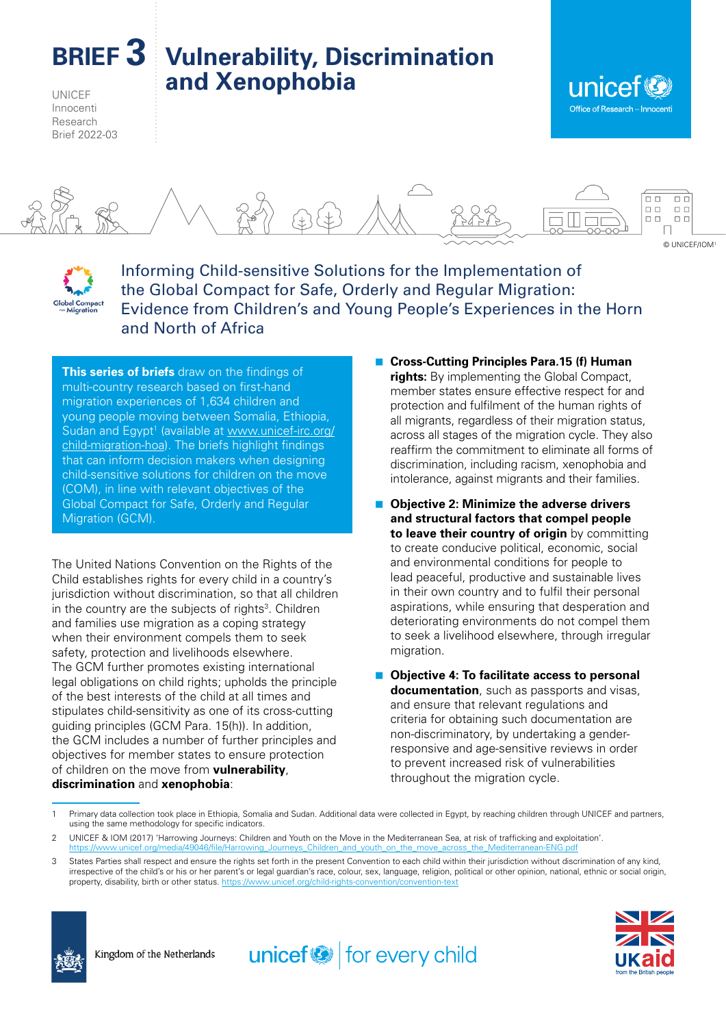**BRIEF 3 Vulnerability, Discrimination and Xenophobia**

UNICEF Innocenti Research Brief 2022-03







Informing Child-sensitive Solutions for the Implementation of the Global Compact for Safe, Orderly and Regular Migration: Evidence from Children's and Young People's Experiences in the Horn and North of Africa

**This series of briefs** draw on the findings of multi-country research based on first-hand migration experiences of 1,634 children and young people moving between Somalia, Ethiopia, Sudan and Egypt<sup>1</sup> (available at [www.unicef-irc.org/](https://www.unicef-irc.org/child-migration-hoa) [child-migration-hoa\)](https://www.unicef-irc.org/child-migration-hoa). The briefs highlight findings that can inform decision makers when designing child-sensitive solutions for children on the move (COM), in line with relevant objectives of the Global Compact for Safe, Orderly and Regular Migration (GCM).

The United Nations Convention on the Rights of the Child establishes rights for every child in a country's jurisdiction without discrimination, so that all children in the country are the subjects of rights<sup>3</sup>. Children and families use migration as a coping strategy when their environment compels them to seek safety, protection and livelihoods elsewhere. The GCM further promotes existing international legal obligations on child rights; upholds the principle of the best interests of the child at all times and stipulates child-sensitivity as one of its cross-cutting guiding principles (GCM Para. 15(h)). In addition, the GCM includes a number of further principles and objectives for member states to ensure protection of children on the move from **vulnerability**, **discrimination** and **xenophobia**:

- Cross-Cutting Principles Para.15 (f) Human **rights:** By implementing the Global Compact, member states ensure effective respect for and protection and fulfilment of the human rights of all migrants, regardless of their migration status, across all stages of the migration cycle. They also reaffirm the commitment to eliminate all forms of discrimination, including racism, xenophobia and intolerance, against migrants and their families.
- Objective 2: Minimize the adverse drivers **and structural factors that compel people to leave their country of origin** by committing to create conducive political, economic, social and environmental conditions for people to lead peaceful, productive and sustainable lives in their own country and to fulfil their personal aspirations, while ensuring that desperation and deteriorating environments do not compel them to seek a livelihood elsewhere, through irregular migration.
- Objective 4: To facilitate access to personal **documentation**, such as passports and visas, and ensure that relevant regulations and criteria for obtaining such documentation are non-discriminatory, by undertaking a genderresponsive and age-sensitive reviews in order to prevent increased risk of vulnerabilities throughout the migration cycle.

 $unicef \otimes$  for every child





<sup>1</sup> Primary data collection took place in Ethiopia, Somalia and Sudan. Additional data were collected in Egypt, by reaching children through UNICEF and partners, using the same methodology for specific indicators.

<sup>2</sup> UNICEF & IOM (2017) 'Harrowing Journeys: Children and Youth on the Move in the Mediterranean Sea, at risk of trafficking and exploitation'. https://www.unicef.org/media/49046/file/Harrowing\_Journeys\_Children\_and\_youth\_on\_the\_move\_across\_the\_Mediterranean-ENG.pdf

<sup>3</sup> States Parties shall respect and ensure the rights set forth in the present Convention to each child within their jurisdiction without discrimination of any kind, irrespective of the child's or his or her parent's or legal guardian's race, colour, sex, language, religion, political or other opinion, national, ethnic or social origin, property, disability, birth or other status. https://wv.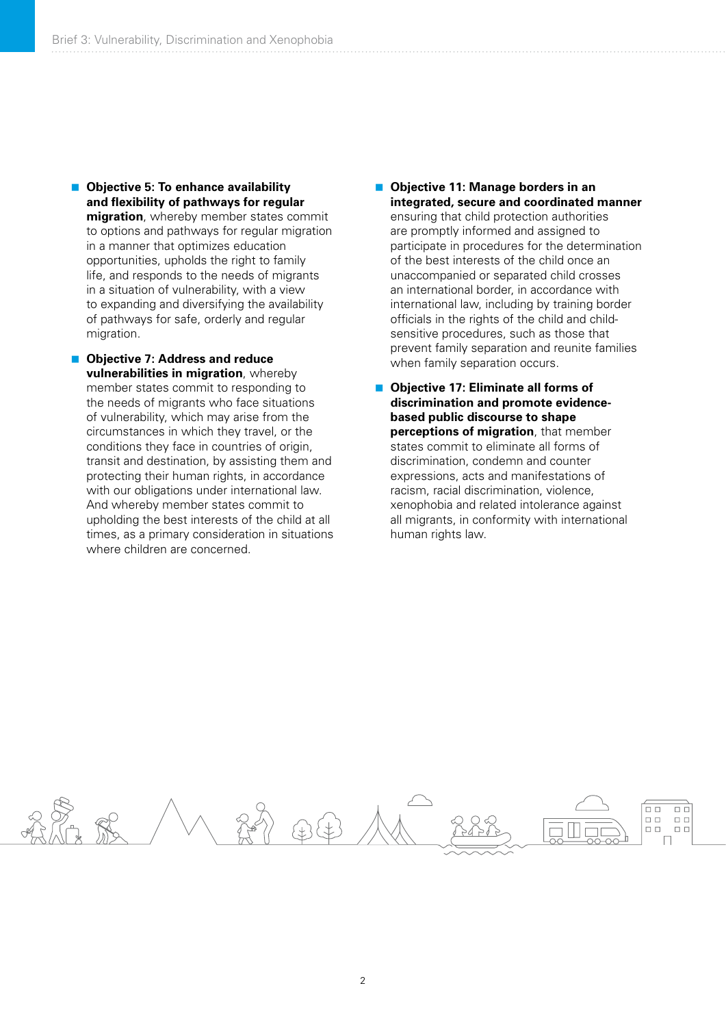- **Objective 5: To enhance availability and flexibility of pathways for regular migration**, whereby member states commit to options and pathways for regular migration in a manner that optimizes education opportunities, upholds the right to family life, and responds to the needs of migrants in a situation of vulnerability, with a view to expanding and diversifying the availability of pathways for safe, orderly and regular migration.
- **Objective 7: Address and reduce vulnerabilities in migration**, whereby member states commit to responding to the needs of migrants who face situations of vulnerability, which may arise from the circumstances in which they travel, or the conditions they face in countries of origin, transit and destination, by assisting them and protecting their human rights, in accordance with our obligations under international law. And whereby member states commit to upholding the best interests of the child at all times, as a primary consideration in situations where children are concerned.
- **Objective 11: Manage borders in an integrated, secure and coordinated manner** ensuring that child protection authorities are promptly informed and assigned to participate in procedures for the determination of the best interests of the child once an unaccompanied or separated child crosses an international border, in accordance with international law, including by training border officials in the rights of the child and childsensitive procedures, such as those that prevent family separation and reunite families when family separation occurs.
- **Objective 17: Eliminate all forms of discrimination and promote evidencebased public discourse to shape perceptions of migration**, that member states commit to eliminate all forms of discrimination, condemn and counter expressions, acts and manifestations of racism, racial discrimination, violence, xenophobia and related intolerance against all migrants, in conformity with international human rights law.

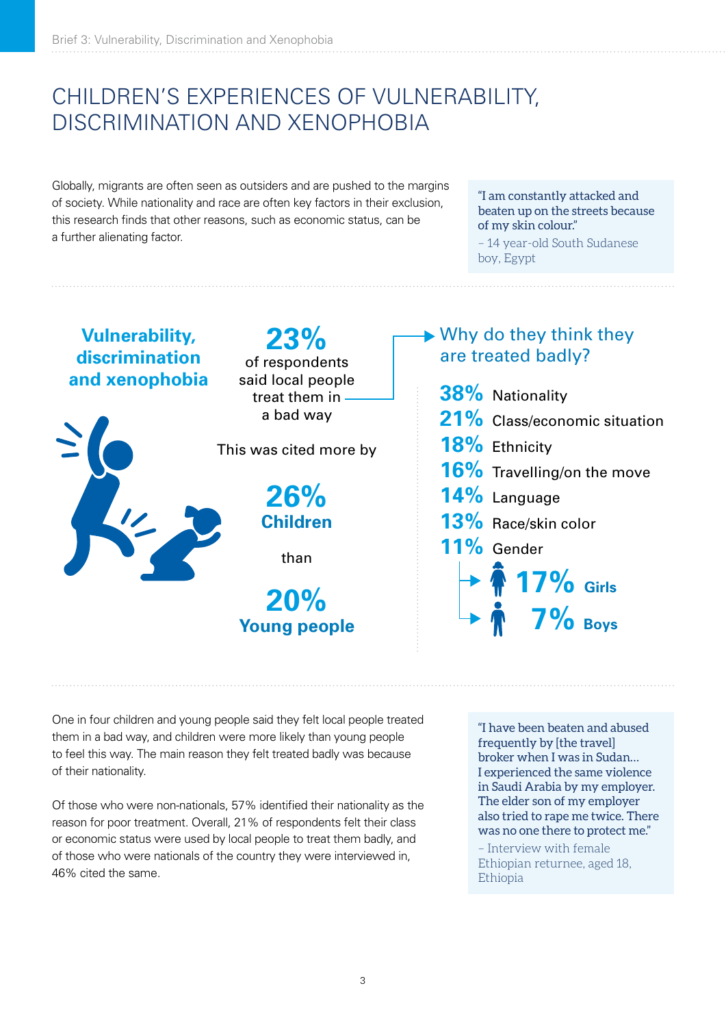# CHILDREN'S EXPERIENCES OF VULNERABILITY, DISCRIMINATION AND XENOPHOBIA

Globally, migrants are often seen as outsiders and are pushed to the margins of society. While nationality and race are often key factors in their exclusion, this research finds that other reasons, such as economic status, can be a further alienating factor.

"I am constantly attacked and beaten up on the streets because of my skin colour."

– 14 year-old South Sudanese boy, Egypt



One in four children and young people said they felt local people treated them in a bad way, and children were more likely than young people to feel this way. The main reason they felt treated badly was because of their nationality.

Of those who were non-nationals, 57% identified their nationality as the reason for poor treatment. Overall, 21% of respondents felt their class or economic status were used by local people to treat them badly, and of those who were nationals of the country they were interviewed in, 46% cited the same.

"I have been beaten and abused frequently by [the travel] broker when I was in Sudan… I experienced the same violence in Saudi Arabia by my employer. The elder son of my employer also tried to rape me twice. There was no one there to protect me."

– Interview with female Ethiopian returnee, aged 18, Ethiopia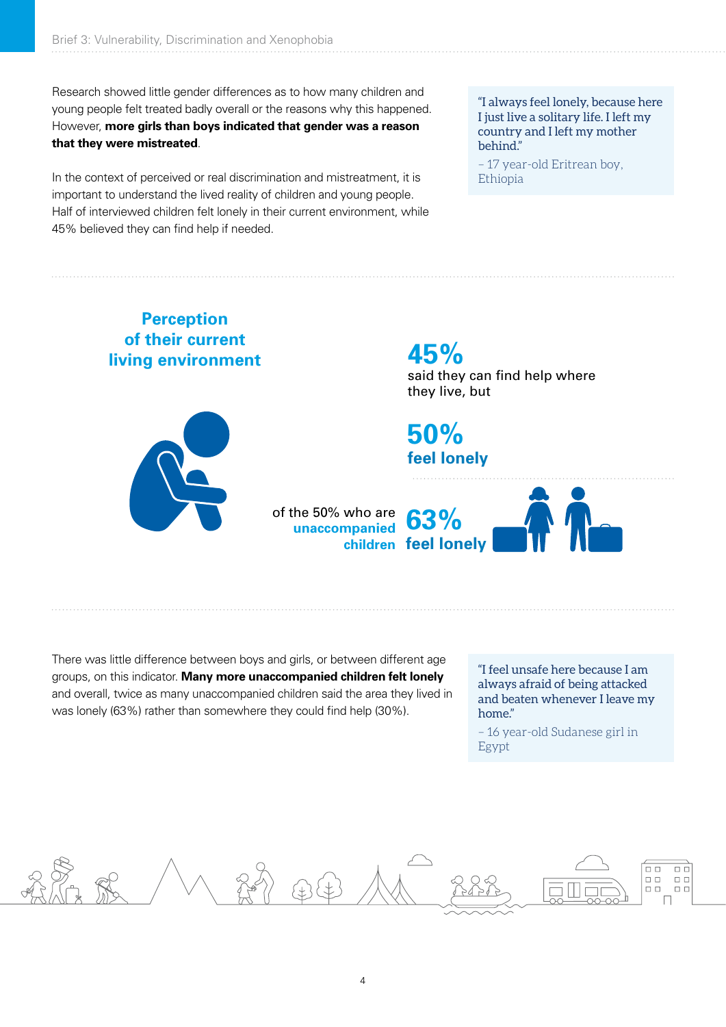Research showed little gender differences as to how many children and young people felt treated badly overall or the reasons why this happened. However, **more girls than boys indicated that gender was a reason that they were mistreated**.

In the context of perceived or real discrimination and mistreatment, it is important to understand the lived reality of children and young people. Half of interviewed children felt lonely in their current environment, while 45% believed they can find help if needed.

"I always feel lonely, because here I just live a solitary life. I left my country and I left my mother behind."

– 17 year-old Eritrean boy, Ethiopia



There was little difference between boys and girls, or between different age groups, on this indicator. **Many more unaccompanied children felt lonely** and overall, twice as many unaccompanied children said the area they lived in was lonely (63%) rather than somewhere they could find help (30%).

"I feel unsafe here because I am always afraid of being attacked and beaten whenever I leave my home."

– 16 year-old Sudanese girl in Egypt

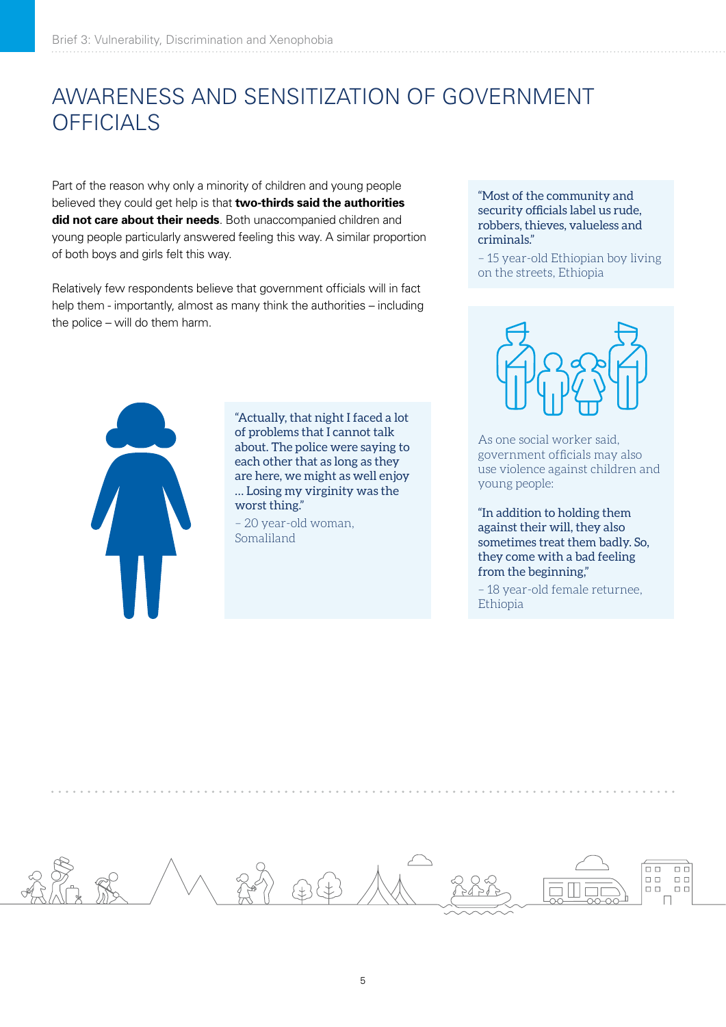# AWARENESS AND SENSITIZATION OF GOVERNMENT **OFFICIALS**

Part of the reason why only a minority of children and young people believed they could get help is that **two-thirds said the authorities did not care about their needs**. Both unaccompanied children and young people particularly answered feeling this way. A similar proportion of both boys and girls felt this way.

Relatively few respondents believe that government officials will in fact help them - importantly, almost as many think the authorities – including the police – will do them harm.

"Most of the community and security officials label us rude, robbers, thieves, valueless and criminals."

– 15 year-old Ethiopian boy living on the streets, Ethiopia



"Actually, that night I faced a lot of problems that I cannot talk about. The police were saying to each other that as long as they are here, we might as well enjoy … Losing my virginity was the worst thing."

– 20 year-old woman, Somaliland



As one social worker said, government officials may also use violence against children and young people:

"In addition to holding them against their will, they also sometimes treat them badly. So, they come with a bad feeling from the beginning,"

– 18 year-old female returnee, Ethiopia

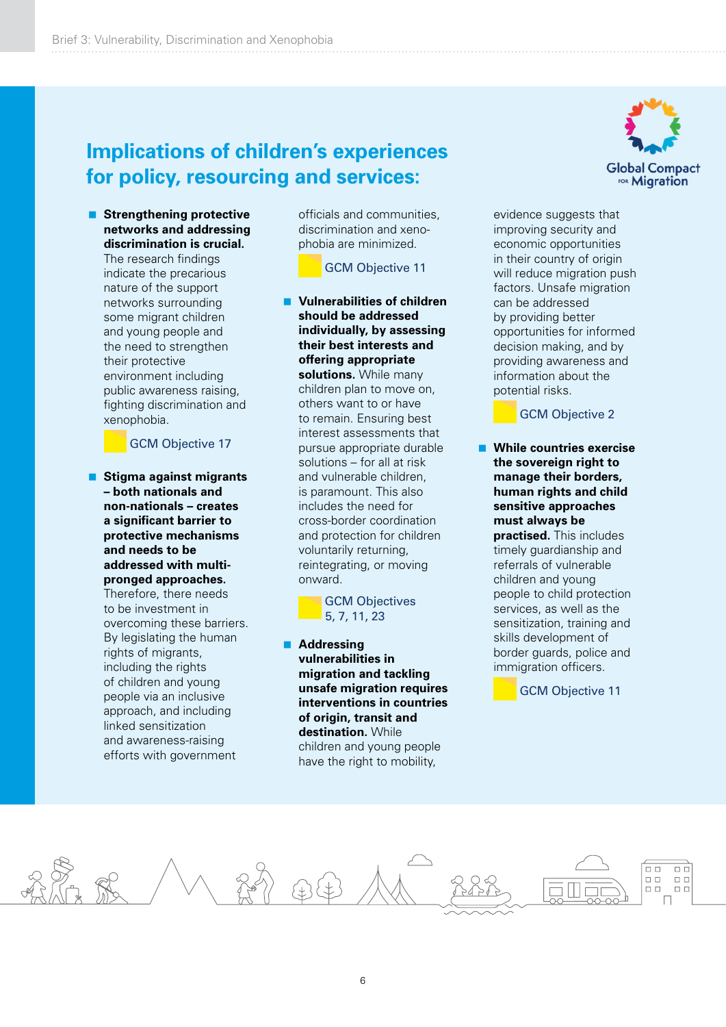## **Implications of children's experiences for policy, resourcing and services:**

 **Strengthening protective networks and addressing discrimination is crucial.** 

The research findings indicate the precarious nature of the support networks surrounding some migrant children and young people and the need to strengthen their protective environment including public awareness raising, fighting discrimination and xenophobia.

GCM Objective 17

 **Stigma against migrants – both nationals and non-nationals – creates a significant barrier to protective mechanisms and needs to be addressed with multipronged approaches.** 

Therefore, there needs to be investment in overcoming these barriers. By legislating the human rights of migrants, including the rights of children and young people via an inclusive approach, and including linked sensitization and awareness-raising efforts with government

officials and communities, discrimination and xenophobia are minimized.

GCM Objective 11

 **Vulnerabilities of children should be addressed individually, by assessing their best interests and offering appropriate solutions.** While many children plan to move on, others want to or have to remain. Ensuring best interest assessments that pursue appropriate durable solutions – for all at risk and vulnerable children is paramount. This also includes the need for cross-border coordination and protection for children voluntarily returning, reintegrating, or moving onward.

> GCM Objectives 5, 7, 11, 23

 **Addressing vulnerabilities in migration and tackling unsafe migration requires interventions in countries of origin, transit and destination.** While children and young people have the right to mobility,



evidence suggests that improving security and economic opportunities in their country of origin will reduce migration push factors. Unsafe migration can be addressed by providing better opportunities for informed decision making, and by providing awareness and information about the potential risks.

GCM Objective 2

 **While countries exercise the sovereign right to manage their borders, human rights and child sensitive approaches must always be practised.** This includes timely guardianship and referrals of vulnerable children and young people to child protection services, as well as the sensitization, training and skills development of border guards, police and immigration officers.

GCM Objective 11